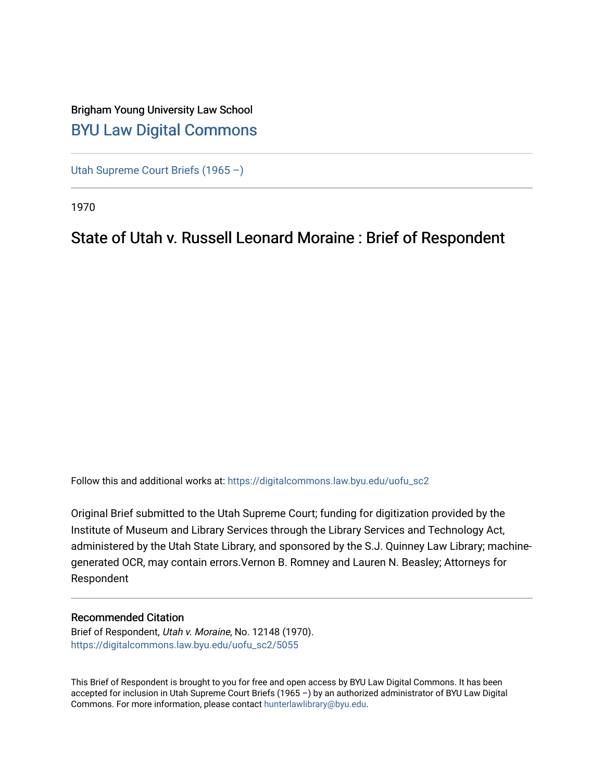### Brigham Young University Law School [BYU Law Digital Commons](https://digitalcommons.law.byu.edu/)

[Utah Supreme Court Briefs \(1965 –\)](https://digitalcommons.law.byu.edu/uofu_sc2)

1970

## State of Utah v. Russell Leonard Moraine : Brief of Respondent

Follow this and additional works at: [https://digitalcommons.law.byu.edu/uofu\\_sc2](https://digitalcommons.law.byu.edu/uofu_sc2?utm_source=digitalcommons.law.byu.edu%2Fuofu_sc2%2F5055&utm_medium=PDF&utm_campaign=PDFCoverPages)

Original Brief submitted to the Utah Supreme Court; funding for digitization provided by the Institute of Museum and Library Services through the Library Services and Technology Act, administered by the Utah State Library, and sponsored by the S.J. Quinney Law Library; machinegenerated OCR, may contain errors.Vernon B. Romney and Lauren N. Beasley; Attorneys for Respondent

### Recommended Citation

Brief of Respondent, Utah v. Moraine, No. 12148 (1970). [https://digitalcommons.law.byu.edu/uofu\\_sc2/5055](https://digitalcommons.law.byu.edu/uofu_sc2/5055?utm_source=digitalcommons.law.byu.edu%2Fuofu_sc2%2F5055&utm_medium=PDF&utm_campaign=PDFCoverPages) 

This Brief of Respondent is brought to you for free and open access by BYU Law Digital Commons. It has been accepted for inclusion in Utah Supreme Court Briefs (1965 –) by an authorized administrator of BYU Law Digital Commons. For more information, please contact [hunterlawlibrary@byu.edu](mailto:hunterlawlibrary@byu.edu).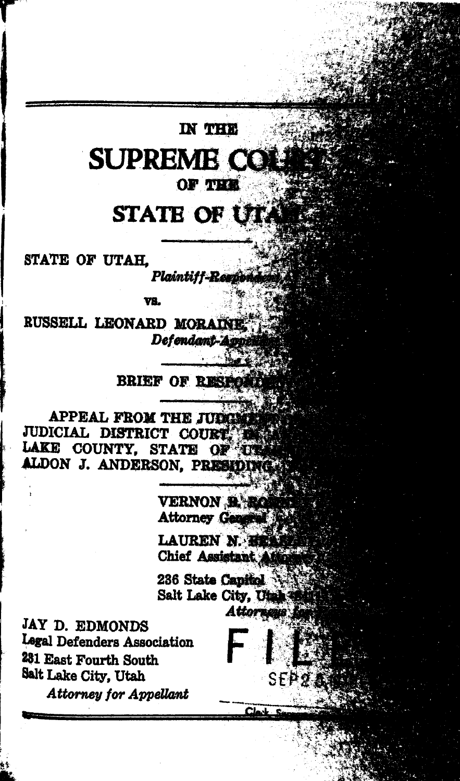IN THE

# **SUPREME CC** OF THE

# **STATE OF UTA**

STATE OF UTAH,

I

Plaintiff-Rest

VS.

RUSSELL LEONARD MORAINE,<br>Defendant-Agon

**BRIEF OF RESPON** 

APPEAL FROM THE JUDGE JUDICIAL DISTRICT COURT. LAKE COUNTY, STATE OF ALDON J. ANDERSON, PRESIDING

> VERNON B. RO **Attorney Genera**

LAUREN N. EE **Chief Assistant** 

236 State Capitol Salt Lake City, Utah **Attornesis** 

JAY D. EDMONDS Legal Defenders Association 281 East Fourth South Salt Lake City, Utah *Attorney for Appellant*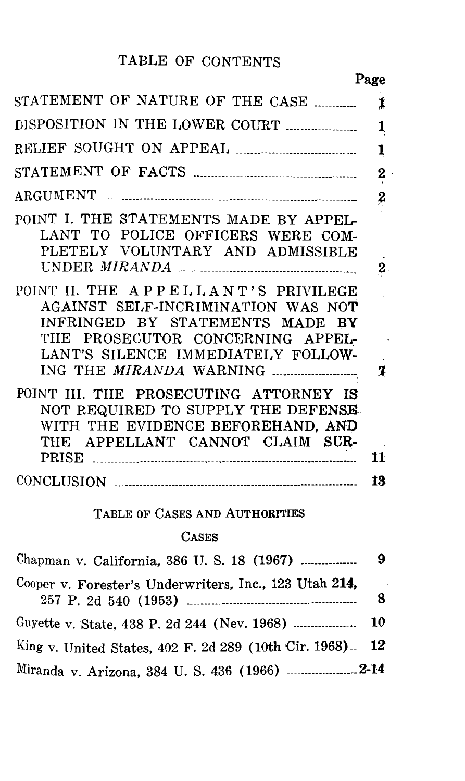## TABLE OF CONTENTS

### Page

| STATEMENT OF NATURE OF THE CASE                                                                                                                                                                                          |
|--------------------------------------------------------------------------------------------------------------------------------------------------------------------------------------------------------------------------|
|                                                                                                                                                                                                                          |
|                                                                                                                                                                                                                          |
|                                                                                                                                                                                                                          |
|                                                                                                                                                                                                                          |
| POINT I. THE STATEMENTS MADE BY APPEL-<br>LANT TO POLICE OFFICERS WERE COM-<br>PLETELY VOLUNTARY AND ADMISSIBLE                                                                                                          |
| POINT II. THE APPELLANT'S PRIVILEGE<br>AGAINST SELF-INCRIMINATION WAS NOT<br>INFRINGED BY STATEMENTS MADE BY<br>THE PROSECUTOR CONCERNING APPEL-<br>LANT'S SILENCE IMMEDIATELY FOLLOW-<br>ING THE <i>MIRANDA</i> WARNING |
| POINT III. THE PROSECUTING ATTORNEY IS<br>NOT REQUIRED TO SUPPLY THE DEFENSE.<br>WITH THE EVIDENCE BEFOREHAND, AND<br>THE APPELLANT CANNOT CLAIM SUR-<br>11                                                              |
| 13                                                                                                                                                                                                                       |
|                                                                                                                                                                                                                          |

### TABLE OF CASES AND AUTHORITIES

### CASES

| Chapman v. California, 386 U. S. 18 (1967)                | 9 |
|-----------------------------------------------------------|---|
| Cooper v. Forester's Underwriters, Inc., 123 Utah 214,    | 8 |
|                                                           |   |
| King v. United States, 402 F. 2d 289 (10th Cir. 1968). 12 |   |
|                                                           |   |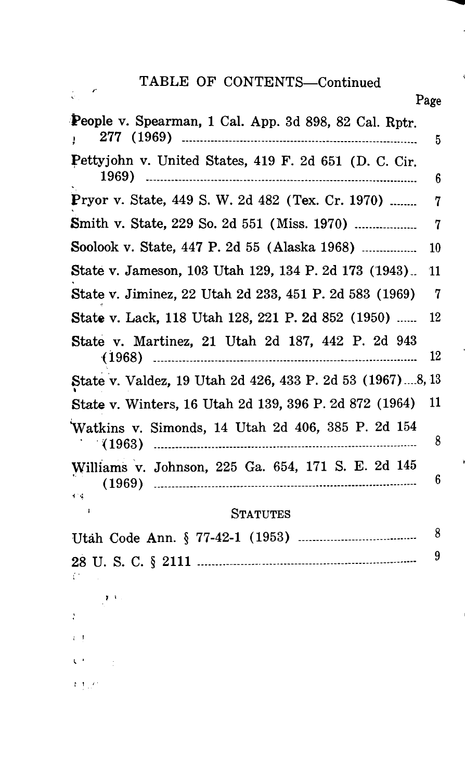# TABLE OF CONTENTS—Continued

|                                                                | r age |
|----------------------------------------------------------------|-------|
| People v. Spearman, 1 Cal. App. 3d 898, 82 Cal. Rptr.          | 5     |
| Pettyjohn v. United States, 419 F. 2d 651 (D. C. Cir.          | 6     |
| Pryor v. State, 449 S. W. 2d 482 (Tex. Cr. 1970)               | 7     |
| <b>S</b> mith v. State, 229 So. 2d 551 (Miss. 1970)            | 7     |
| Soolook v. State, 447 P. 2d 55 (Alaska 1968)                   | 10    |
| State v. Jameson, 103 Utah 129, 134 P. 2d 173 (1943)           | '11   |
| State v. Jiminez, 22 Utah 2d 233, 451 P. 2d 583 (1969)         | 7     |
| State v. Lack, 118 Utah 128, 221 P. 2d 852 (1950)              | 12    |
| State v. Martinez, 21 Utah 2d 187, 442 P. 2d 943               | 12    |
| State v. Valdez, 19 Utah 2d 426, 433 P. 2d 53 (1967)8, 13      |       |
| State v. Winters, 16 Utah 2d 139, 396 P. 2d 872 (1964)         | 11    |
| Watkins v. Simonds, 14 Utah 2d 406, 385 P. 2d 154              | 8     |
| Williams v. Johnson, 225 Ga. 654, 171 S. E. 2d 145<br>4.14     | 6     |
| $\overline{\phantom{a}}$<br><b>STATUTES</b>                    |       |
| Iltah Code Ann $\{77-42-1\}$ (1953)<br>----------------------- | 8     |

 $\label{eq:2} \mathbf{F}^{\mathcal{A}}(\mathbf{F}) = \mathbf{F}^{\mathcal{A}}(\mathbf{F})$ 

 $\hat{A}$  ,  $\hat{B}$  ,

 $\frac{1}{2}$ 

 $\mathbf{r}$   $\mathbf{y}$ <sub>i</sub> $\mathbf{c}$ <sup>.</sup>

 $\mathbf{C}^{\mathbf{A}}$  and  $\mathbf{C}^{\mathbf{A}}$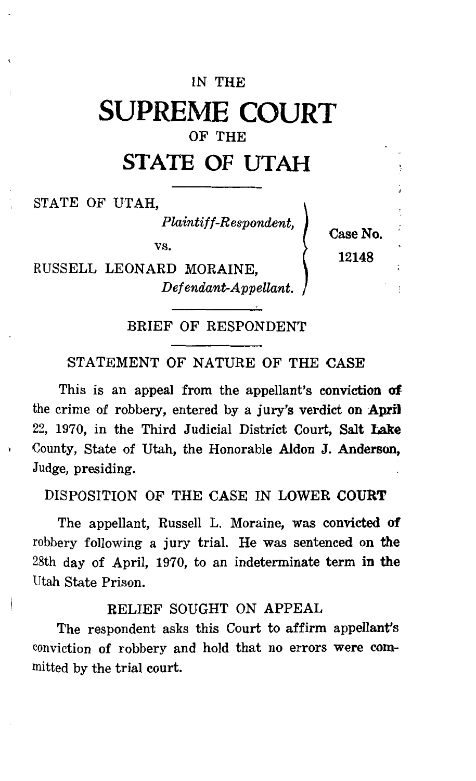## lN THE **SUPREME COURT**  OF THE **STATE OF UTAH**

STATE OF UTAH,

 $Plaintiff-Respondent,$ 

vs.

RUSSELL LEONARD MORAINE, *Defendant-Appellant.*  Case No.

12148

BRIEF OF RESPONDENT

### STATEMENT OF NATURE OF THE CASE

This is an appeal from the appellant's conviction of the crime of robbery, entered by a jury's verdict on **April**  22, 1970, in the Third Judicial District Court, Salt Lake County, State of Utah, the Honorable Aldon J. Anderson, Judge, presiding.

DISPOSITION OF THE CASE IN LOWER COURT

The appellant, Russell L. Moraine, was convicted of robbery following a jury trial. He was sentenced on the 28th day of April, 1970, to an indeterminate term in the Utah State Prison.

### RELIEF SOUGHT ON APPEAL

The respondent asks this Court to affirm appellant's conviction of robbery and hold that no errors were committed by the trial court.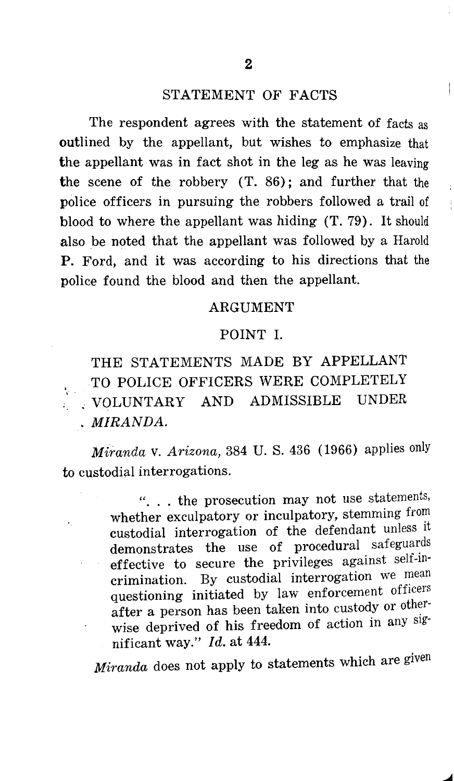The respondent agrees with the statement of facts as outlined by the appellant, but wishes to emphasize that the appellant was in fact shot in the leg as he was leaving the scene of the robbery  $(T. 86)$ ; and further that the police officers in pursuing the robbers followed a trail of blood to where the appellant was hiding (T. 79). It should also be noted that the appellant was followed by a Harold P. Ford, and it was according to his directions that the police found the blood and then the appellant.

### **ARGUMENT**

### POINT I.

. TO POLICE OFFICERS WERE COMPLETELY<br>VOLUNTARY AND ADMISSIBLE UNDER THE STATEMENTS MADE BY APPELLANT TO POLICE OFFICERS WERE COMPLETELY . *MIRANDA.* 

*Miranda* v. *Arizona,* 384 U. S. 436 (1966) applies only to custodial interrogations.

> "... the prosecution may not use statements, whether exculpatory or inculpatory, stemming from custodial interrogation of the defendant unless it demonstrates the use of procedural safeguards effective to secure the privileges against self-incrimination. By custodial interrogation we mean questioning initiated by law enforcement officers after a person has been taken into custody or wise deprived of his freedom of action in any significant way." *Id.* at 444.

*Miranda* does not apply to statements which are given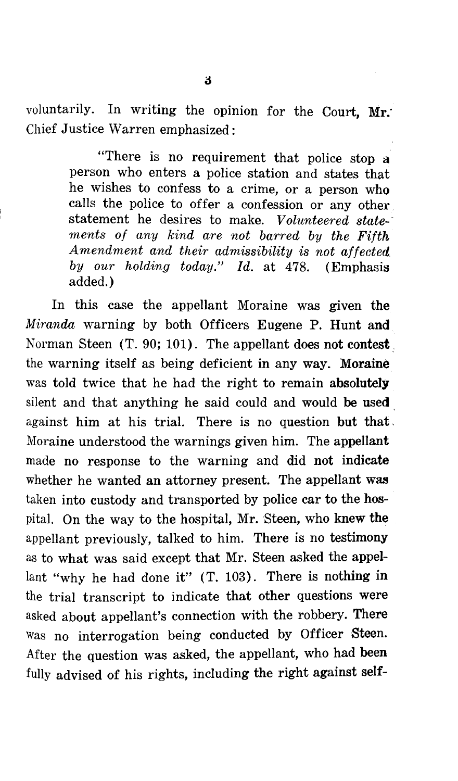voluntarily. In writing the opinion for the Court, Mr: Chief Justice Warren emphasized:

> "There is no requirement that police stop a person who enters a police station and states that he wishes to confess to a crime, or a person who calls the police to offer a confession or any other statement he desires to make. *Volunteered state- ments of any kind are not barred by the Fifth Amendment and their admissibility is not affected by our holding today." Id.* at 478. (Emphasis added.)

In this case the appellant Moraine was given the *Miranda* warning by both Officers Eugene P. Hunt and Norman Steen (T. 90; 101). The appellant does not contest. the warning itself as being deficient in any way. Moraine was told twice that he had the right to remain absolutely silent and that anything he said could and would be used . against him at his trial. There is no question but that. Moraine understood the warnings given him. The appellant made no response to the warning and did not indicate whether he wanted an attorney present. The appellant was taken into custody and transported by police car to the hospital. On the way to the hospital, Mr. Steen, who knew the appellant previously, talked to him. There is no testimony as to what was said except that Mr. Steen asked the appellant "why he had done it" (T. 103). There is nothing in the trial transcript to indicate that other questions were asked about appellant's connection with the robbery. There was no interrogation being conducted by Officer Steen. After the question was asked, the appellant, who had been fully advised of his rights, including the right against self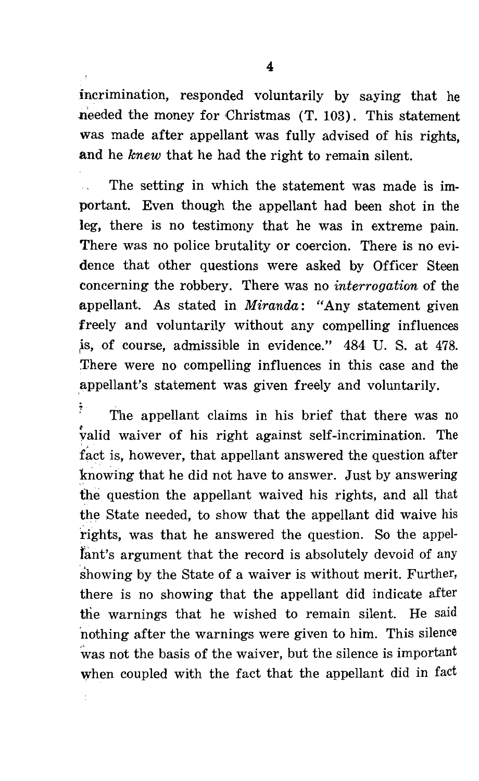incrimination, responded voluntarily by saying that he needed the money for Christmas (T. 103). This statement was made after appellant was fully advised of his rights, and he *knew* that he had the right to remain silent.

The setting in which the statement was made is important. Even though the appellant had been shot in the leg, there is no testimony that he was in extreme pain. There was no police brutality or coercion. There is no evidence that other questions were asked by Officer Steen concerning the robbery. There was no *interrogation* of the appellant. As stated in *Miranda:* "Any statement given freely and voluntarily without any compelling influences is, of course, admissible in evidence." 484 U.S. at 478. There were no compelling influences in this case and the appellant's statement was given freely and voluntarily.

The appellant claims in his brief that there was no valid waiver of his right against self-incrimination. The fact is, however, that appellant answered the question after knowing that he did not have to answer. Just by answering the question the appellant waived his rights, and all that the State needed, to show that the appellant did waive his rights, was that he answered the question. So the appellant's argument that the record is absolutely devoid of any showing by the State of a waiver is without merit. Further, there is no showing that the appellant did indicate after the warnings that he wished to remain silent. He said nothing after the warnings were given to him. This silence was not the basis of the waiver, but the silence is important when coupled with the fact that the appellant did in fact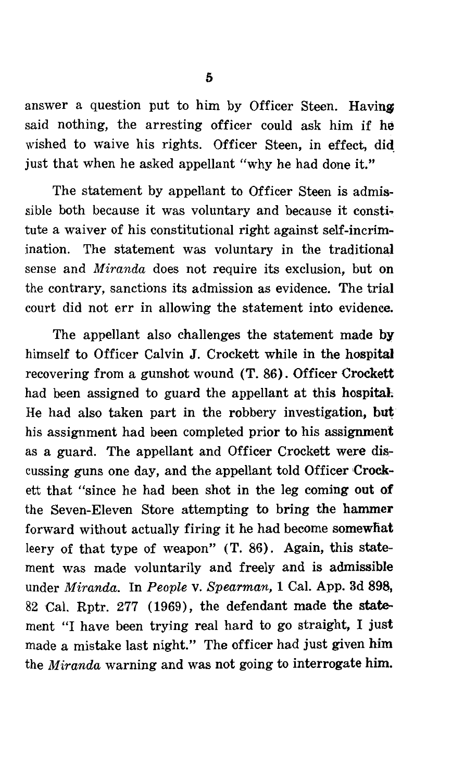answer a question put to him by Officer Steen. Having said nothing, the arresting officer could ask him if he wished to waive his rights. Officer Steen, in effect, did just that when he asked appellant "why he had done it."

The statement by appellant to Officer Steen is admissible both because it was voluntary and because it constitute a waiver of his constitutional right against self-incrimination. The statement was voluntary in the traditional sense and *Miranda* does not require its exclusion, but on the contrary, sanctions its admission as evidence. The trial court did not err in allowing the statement into evidence.

The appellant also challenges the statement made by himself to Officer Calvin J. Crockett while in the hospital recovering from a gunshot wound (T. 86). Officer Crockett had been assigned to guard the appellant at this hospital; He had also taken part in the robbery investigation, his assignment had been completed prior to his assignment as a guard. The appellant and Officer Crockett were discussing guns one day, and the appellant told Officer Crockett that "since he had been shot in the leg coming out of the Seven-Eleven Store attempting to bring the hammer forward without actually firing it he had become somewhat leery of that type of weapon" (T. 86). Again, this statement was made voluntarily and freely and is admissible under *Miranda.* In *People* v. *Spearman,* 1 Cal. App. 3d 898, 82 Cal. Rptr. 277 (1969), the defendant made the statement "I have been trying real hard to go straight, I just made a mistake last night." The officer had just given him the *Miranda* warning and was not going to interrogate him.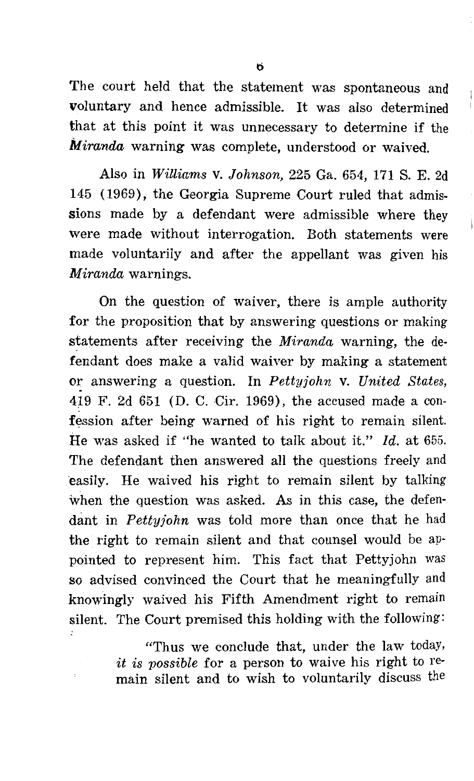The court held that the statement was spontaneous and voluntary and hence admissible. It was also determined that at this point it was unnecessary to determine if the *Miranda* warning was complete, understood or waived.

Also in *Williams* v. *Johnson,* 225 Ga. 654, 171 S. E. 2d 145 ( 1969), the Georgia Supreme Court ruled that admissions made by a defendant were admissible where they were made without interrogation. Both statements were made voluntarily and after the appellant was given his *Miranda* warnings.

On the question of waiver, there is ample authority for the proposition that by answering questions or making after receiving the *Miranda* warning, the defendant does make a valid waiver by making a statement or answering a question. In *Pettyjohn* v. *United States,*  F. 2d 651 (D. C. Cir. 1969), the accused made a confession after being warned of his right to remain silent. He was asked if "he wanted to talk about it." *Id.* at 655. The defendant then answered all the questions freely and easily. He waived his right to remain silent by talking when the question was asked. As in this case, the defendant in *Pettyjohn* was told more than once that he had the right to remain silent and that counsel would be appointed to represent him. This fact that Pettyjohn was so advised convinced the Court that he meaningfully and knowingly waived his Fifth Amendment right to remain silent. The Court premised this holding with the following:

> "Thus we conclude that, under the law today, *it is possible* for a person to waive his right to remain silent and to wish to voluntarily discuss the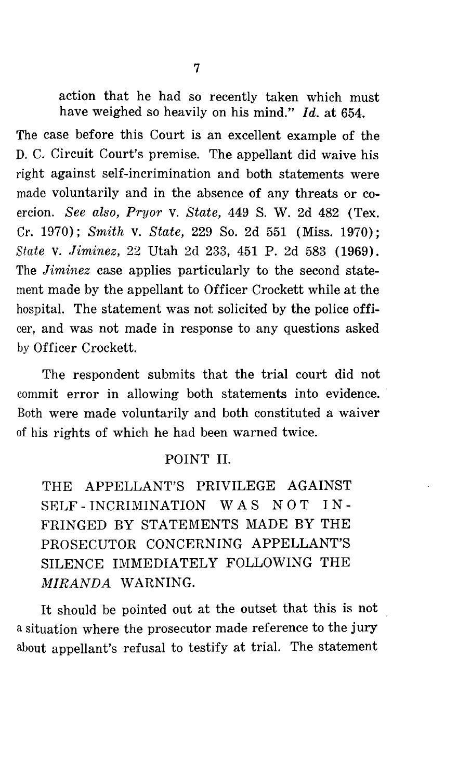action that he had so recently taken which must have weighed so heavily on his mind." *Id.* at 654.

The case before this Court is an excellent example of the D. C. Circuit Court's premise. The appellant did waive his right against self-incrimination and both statements were made voluntarily and in the absence of any threats or coercion. *See also, Pryor* v. *State,* 449 S. W. 2d 482 (Tex. Cr. 1970); *Smith* v. *State,* 229 So. 2d 551 (Miss. 1970); *State* v. *Jiminez,* 22 Utah 2d 233, 451 P. 2d 583 (1969). The *Jiminez* case applies particularly to the second statement made by the appellant to Officer Crockett while at the hospital. The statement was not solicited by the police officer, and was not made in response to any questions asked by Officer Crockett.

The respondent submits that the trial court did not commit error in allowing both statements into evidence. Both were made voluntarily and both constituted a waiver of his rights of which he had been warned twice.

### POINT IL

THE APPELLANT'S PRIVILEGE AGAINST SELF-INCRIMINATION WAS NOT IN-FRINGED BY STATEMENTS MADE BY THE PROSECUTOR CONCERNING APPELLANT'S SILENCE IMMEDIATELY FOLLOWING THE *MIRANDA* WARNING.

It should be pointed out at the outset that this is not a situation where the prosecutor made reference to the jury about appellant's refusal to testify at trial. The statement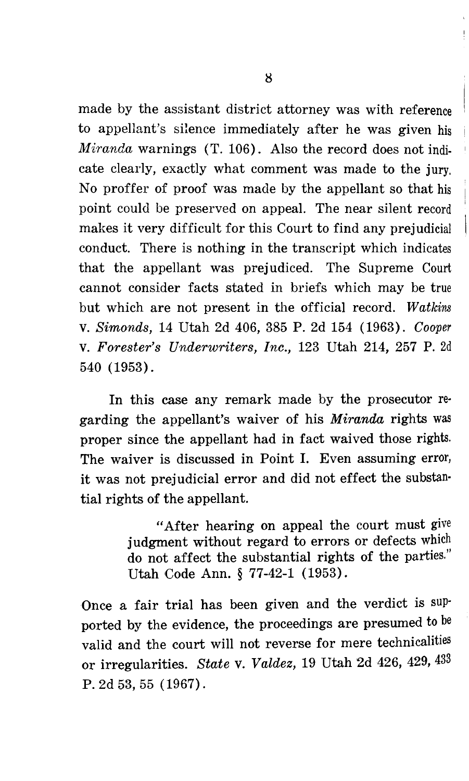made by the assistant district attorney was with reference to appellant's silence immediately after he was given his 1 *Miranda* warnings (T. 106). Also the record does not indicate clearly, exactly what comment was made to the jury. No proffer of proof was made by the appellant so that his point could be preserved on appeal. The near silent record makes it very difficult for this Court to find any prejudicial conduct. There is nothing in the transcript which indicates that the appellant was prejudiced. The Supreme Court cannot consider facts stated in briefs which may be true but which are not present in the official record. *Watkins*  V. *Simonds,* 14 Utah 2d 406, 385 P. 2d 154 (1963). *Cooper*  v. *Forester's Underwriters, Inc.,* 123 Utah 214, 257 P. 2d 540 (1953).

In this case any remark made by the prosecutor regarding the appellant's waiver of his *Miranda* rights was proper since the appellant had in fact waived those rights. The waiver is discussed in Point I. Even assuming error, it was not prejudicial error and did not effect the substantial rights of the appellant.

> "After hearing on appeal the court must give judgment without regard to errors or defects which do not affect the substantial rights of the parties." Utah Code Ann. § 77-42-1 (1953).

Once a fair trial has been given and the verdict is supported by the evidence, the proceedings are presumed to be valid and the court will not reverse for mere technicalities or irregularities. *State* v. *Valdez,* 19 Utah 2d 426, 429, 433 P. 2d 53, 55 ( 1967).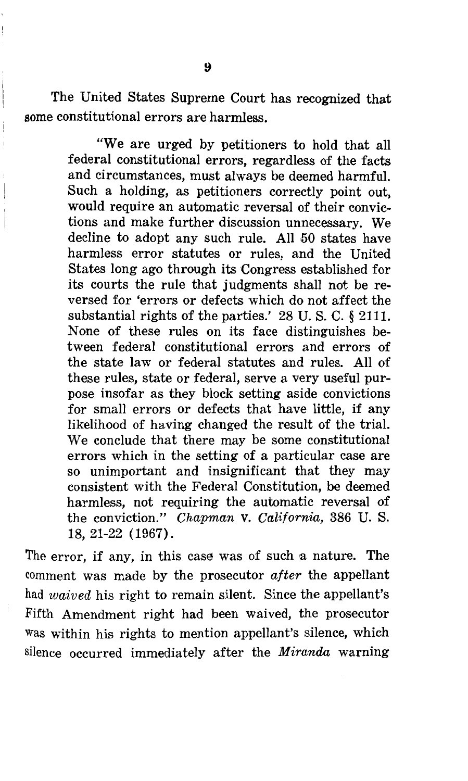The United States Supreme Court has recognized that some constitutional errors are harmless.

> "We are urged by petitioners to hold that all federal constitutional errors, regardless of the facts and circumstances, must always be deemed harmful. Such a holding, as petitioners correctly point out, would require an automatic reversal of their convictions and make further discussion unnecessary. We decline to adopt any such rule. All 50 states have harmless error statutes or rules, and the United States long ago through its Congress established for its courts the rule that judgments shall not be reversed for 'errors or defects which do not affect the substantial rights of the parties.' 28 U. S. C. § 2111. None of these rules on its face distinguishes between federal constitutional errors and errors of the state law or federal statutes and rules. All of these rules, state or federal, serve a very useful purpose insofar as they block setting aside convictions for small errors or defects that have little, if any likelihood of having changed the result of the trial. We conclude that there may be some constitutional errors which in the setting of a particular case are so unimportant and insignificant that they may consistent with the Federal Constitution, be deemed harmless, not requiring the automatic reversal of the conviction." *Chapman* v. *California,* 386 U. S. 18, 21-22 (1967).

The error, if any, in this case was of such a nature. The comment was made by the prosecutor *after* the appellant had *waived* his right to remain silent. Since the appellant's Fifth Amendment right had been waived, the prosecutor Was within his rights to mention appellant's silence, which silence occurred immediately after the *Miranda* warning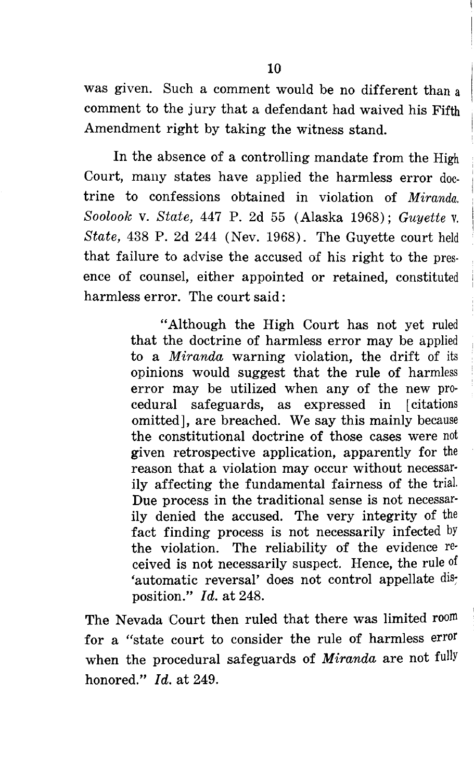was given. Such a comment would be no different than a comment to the jury that a defendant had waived his Fifth Amendment right by taking the witness stand.

In the absence of a controlling mandate from the High Court, many states have applied the harmless error doctrine to confessions obtained in violation of *Miranda. Soolook* v. *State,* 447 P. 2d 55 (Alaska 1968); *Guyette* v. *State,* 438 P. 2d 244 (Nev. 1968). The Guyette court held that failure to advise the accused of his right to the presence of counsel, either appointed or retained, constituted harmless error. The court said:

> "Although the High Court has not yet ruled that the doctrine of harmless error may be applied to a *Miranda* warning violation, the drift of its opinions would suggest that the rule of harmless error may be utilized when any of the new procedural safeguards, as expressed in [citations omitted], are breached. We say this mainly because the constitutional doctrine of those cases were not given retrospective application, apparently for the reason that a violation may occur without necessarily affecting the fundamental fairness of the trial. Due process in the traditional sense is not necessarily denied the accused. The very integrity of the fact finding process is not necessarily infected by the violation. The reliability of the evidence received is not necessarily suspect. Hence, the rule of 'automatic reversal' does not control appellate disposition." *Id.* at 248.

The Nevada Court then ruled that there was limited room for a "state court to consider the rule of harmless error when the procedural safeguards of *Miranda* are not fullY honored." *Id.* at 249.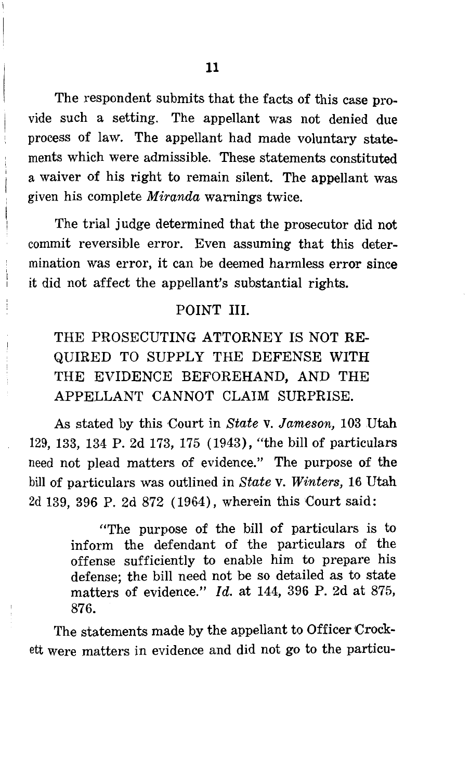The respondent submits that the facts of this case provide such a setting. The appellant was not denied due process of law. The appellant had made voluntary statements which were admissible. These statements constituted a waiver of his right to remain silent. The appellant was given his complete *Miranda* warnings twice.

The trial judge determined that the prosecutor did not commit reversible error. Even assuming that this determination was error, it can be deemed harmless error since it did not affect the appellant's substantial rights.

### POINT III.

THE PROSECUTING ATTORNEY IS NOT RE-QUIRED TO SUPPLY THE DEFENSE WITH THE EVIDENCE BEFOREHAND, AND THE APPELLANT CANNOT CLAIM SURPRISE.

As stated by this Court in *State* v. *Jameson,* 103 Utah 129, 133, 134 P. 2d 173, 175 (1943), "the bill of particulars need not plead matters of evidence." The purpose of the bill of particulars was outlined in *State* v. *Winters,* 16 Utah 2d 139, 396 P. 2d 872 (1964), wherein this Court said:

> "The purpose of the bill of particulars is to inform the defendant of the particulars of the offense sufficiently to enable him to prepare his defense; the bill need not be so detailed as to state matters of evidence." *Id.* at 144, 396 P. 2d at 875, 876.

The statements made by the appellant to Officer Crockett were matters in evidence and did not go to the particu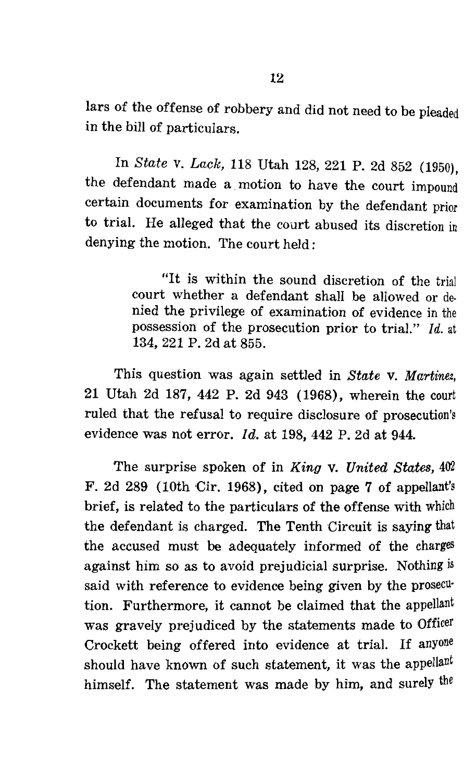lars of the offense of robbery and did not need to be pleaded in the bill of particulars.

In *State* v. *Lack,* 118 Utah 128, 221 P. 2d 852 (1950), the defendant made a motion to have the court impound certain documents for examination by the defendant prior to trial. He alleged that the court abused its discretion in denying the motion. The court held :

> "It is within the sound discretion of the trial court whether a defendant shall be allowed or denied the privilege of examination of evidence in the possession of the prosecution prior to trial." *Id.* at 134, 221 P. 2d at 855.

This question was again settled in *State* v. *Martinez,*  21 Utah 2d 187, 442 P. 2d 943 (1968), wherein the court ruled that the refusal to require disclosure of prosecution's evidence was not error. *Id.* at 198, 442 P. 2d at 944.

The surprise spoken of in *King* v. *United States,* 402 F. 2d 289 (10th Cir. 1968), cited on page 7 of appellant's brief, is related to the particulars of the offense with which the defendant is charged. The Tenth Circuit is saying that the accused must be adequately informed of the charges against him so as to avoid prejudicial surprise. Nothing is said with reference to evidence being given by the prosecution. Furthermore, it cannot be claimed that the appellant was gravely prejudiced by the statements made to Officer Crockett being offered into evidence at trial. If anyone should have known of such statement, it was the appellant himself. The statement was made by him, and surely the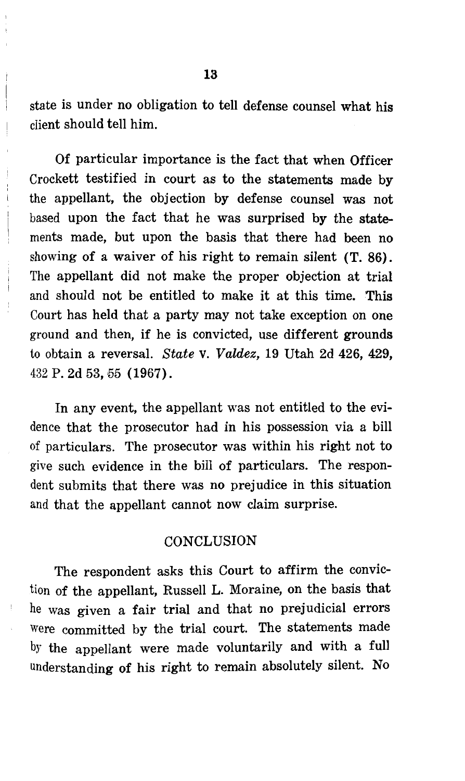state is under no obligation to tell defense counsel what his client should tell him.

Of particular importance is the fact that when Officer Crockett testified in court as to the statements made by the appellant, the objection by defense counsel was not based upon the fact that he was surprised by the statements made, but upon the basis that there had been no showing of a waiver of his right to remain silent (T. 86). The appellant did not make the proper objection at trial and should not be entitled to make it at this time. 'This Court has held that a party may not take exception on one ground and then, if he is convicted, use different grounds to obtain a reversal. *State* v. *Valdez,* 19 Utah 2d 426, 429, 432 P. 2d 53, 55 (1967).

In any event, the appellant was not entitled to the evidence that the prosecutor had in his possession via a bill of particulars. The prosecutor was within his right not to give such evidence in the bill of particulars. The respondent submits that there was no prejudice in this situation and that the appellant cannot now claim surprise.

### **CONCLUSION**

The respondent asks this Court to affirm the conviction of the appellant, Russell L. Moraine, on the basis that he was given a fair trial and that no prejudicial errors were committed by the trial court. The statements made by the appellant were made voluntarily and with a full understanding of his right to remain absolutely silent. No